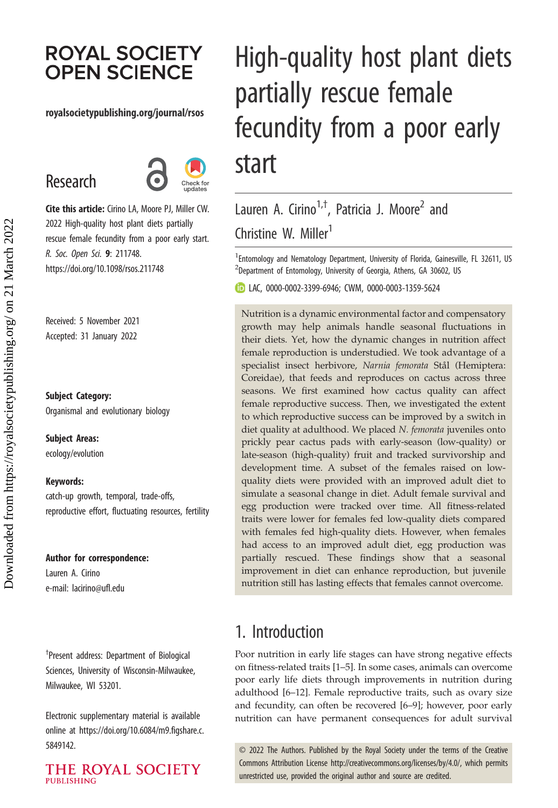# **ROYAL SOCIETY OPEN SCIENCE**

#### royalsocietypublishing.org/journal/rsos

# Research



Cite this article: Cirino LA, Moore PJ, Miller CW. 2022 High-quality host plant diets partially rescue female fecundity from a poor early start. R. Soc. Open Sci. 9: 211748. https://doi.org/10.1098/rsos.211748

Received: 5 November 2021 Accepted: 31 January 2022

Subject Category: Organismal and evolutionary biology

Subject Areas:

ecology/evolution

#### Keywords:

catch-up growth, temporal, trade-offs, reproductive effort, fluctuating resources, fertility

#### Author for correspondence:

Lauren A. Cirino e-mail: [lacirino@ufl.edu](mailto:lacirino@ufl.edu)

† Present address: Department of Biological Sciences, University of Wisconsin-Milwaukee, Milwaukee, WI 53201.

Electronic supplementary material is available online at [https://doi.org/10.6084/m9.figshare.c.](https://doi.org/10.6084/m9.figshare.c.5849142) [5849142.](https://doi.org/10.6084/m9.figshare.c.5849142)

THE ROYAL SOCIETY **PUBLISHING** 

# High-quality host plant diets partially rescue female fecundity from a poor early start

# Lauren A. Cirino<sup>1,†</sup>, Patricia J. Moore<sup>2</sup> and Christine W. Miller<sup>1</sup>

<sup>1</sup> Entomology and Nematology Department, University of Florida, Gainesville, FL 32611, US  $^{2}$ Department of Entomology, University of Georgia, Athens, GA 30602, US

LAC, [0000-0002-3399-6946;](http://orcid.org/0000-0002-3399-6946) CWM, [0000-0003-1359-5624](http://orcid.org/0000-0003-1359-5624)

Nutrition is a dynamic environmental factor and compensatory growth may help animals handle seasonal fluctuations in their diets. Yet, how the dynamic changes in nutrition affect female reproduction is understudied. We took advantage of a specialist insect herbivore, Narnia femorata Stål (Hemiptera: Coreidae), that feeds and reproduces on cactus across three seasons. We first examined how cactus quality can affect female reproductive success. Then, we investigated the extent to which reproductive success can be improved by a switch in diet quality at adulthood. We placed N. femorata juveniles onto prickly pear cactus pads with early-season (low-quality) or late-season (high-quality) fruit and tracked survivorship and development time. A subset of the females raised on lowquality diets were provided with an improved adult diet to simulate a seasonal change in diet. Adult female survival and egg production were tracked over time. All fitness-related traits were lower for females fed low-quality diets compared with females fed high-quality diets. However, when females had access to an improved adult diet, egg production was partially rescued. These findings show that a seasonal improvement in diet can enhance reproduction, but juvenile nutrition still has lasting effects that females cannot overcome.

# 1. Introduction

Poor nutrition in early life stages can have strong negative effects on fitness-related traits [\[1](#page-9-0)–[5\]](#page-9-0). In some cases, animals can overcome poor early life diets through improvements in nutrition during adulthood [\[6](#page-9-0)–[12](#page-9-0)]. Female reproductive traits, such as ovary size and fecundity, can often be recovered [\[6](#page-9-0)–[9\]](#page-9-0); however, poor early nutrition can have permanent consequences for adult survival

© 2022 The Authors. Published by the Royal Society under the terms of the Creative Commons Attribution License<http://creativecommons.org/licenses/by/4.0/>, which permits unrestricted use, provided the original author and source are credited.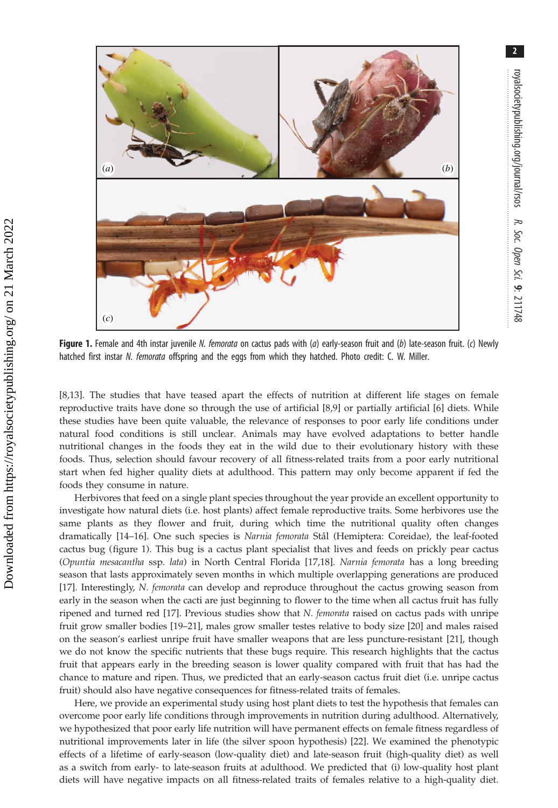

Figure 1. Female and 4th instar juvenile N. femorata on cactus pads with (a) early-season fruit and (b) late-season fruit. (c) Newly hatched first instar N. femorata offspring and the eggs from which they hatched. Photo credit: C. W. Miller.

[\[8,13](#page-9-0)]. The studies that have teased apart the effects of nutrition at different life stages on female reproductive traits have done so through the use of artificial [[8,9\]](#page-9-0) or partially artificial [\[6\]](#page-9-0) diets. While these studies have been quite valuable, the relevance of responses to poor early life conditions under natural food conditions is still unclear. Animals may have evolved adaptations to better handle nutritional changes in the foods they eat in the wild due to their evolutionary history with these foods. Thus, selection should favour recovery of all fitness-related traits from a poor early nutritional start when fed higher quality diets at adulthood. This pattern may only become apparent if fed the foods they consume in nature.

Herbivores that feed on a single plant species throughout the year provide an excellent opportunity to investigate how natural diets (i.e. host plants) affect female reproductive traits. Some herbivores use the same plants as they flower and fruit, during which time the nutritional quality often changes dramatically [[14](#page-9-0)-[16](#page-9-0)]. One such species is Narnia femorata Stål (Hemiptera: Coreidae), the leaf-footed cactus bug (figure 1). This bug is a cactus plant specialist that lives and feeds on prickly pear cactus (Opuntia mesacantha ssp. lata) in North Central Florida [\[17](#page-9-0),[18\]](#page-9-0). Narnia femorata has a long breeding season that lasts approximately seven months in which multiple overlapping generations are produced [\[17](#page-9-0)]. Interestingly, N. femorata can develop and reproduce throughout the cactus growing season from early in the season when the cacti are just beginning to flower to the time when all cactus fruit has fully ripened and turned red [[17\]](#page-9-0). Previous studies show that N. femorata raised on cactus pads with unripe fruit grow smaller bodies [\[19](#page-9-0)–[21\]](#page-9-0), males grow smaller testes relative to body size [\[20](#page-9-0)] and males raised on the season's earliest unripe fruit have smaller weapons that are less puncture-resistant [[21\]](#page-9-0), though we do not know the specific nutrients that these bugs require. This research highlights that the cactus fruit that appears early in the breeding season is lower quality compared with fruit that has had the chance to mature and ripen. Thus, we predicted that an early-season cactus fruit diet (i.e. unripe cactus fruit) should also have negative consequences for fitness-related traits of females.

Here, we provide an experimental study using host plant diets to test the hypothesis that females can overcome poor early life conditions through improvements in nutrition during adulthood. Alternatively, we hypothesized that poor early life nutrition will have permanent effects on female fitness regardless of nutritional improvements later in life (the silver spoon hypothesis) [[22\]](#page-9-0). We examined the phenotypic effects of a lifetime of early-season (low-quality diet) and late-season fruit (high-quality diet) as well as a switch from early- to late-season fruits at adulthood. We predicted that (i) low-quality host plant diets will have negative impacts on all fitness-related traits of females relative to a high-quality diet.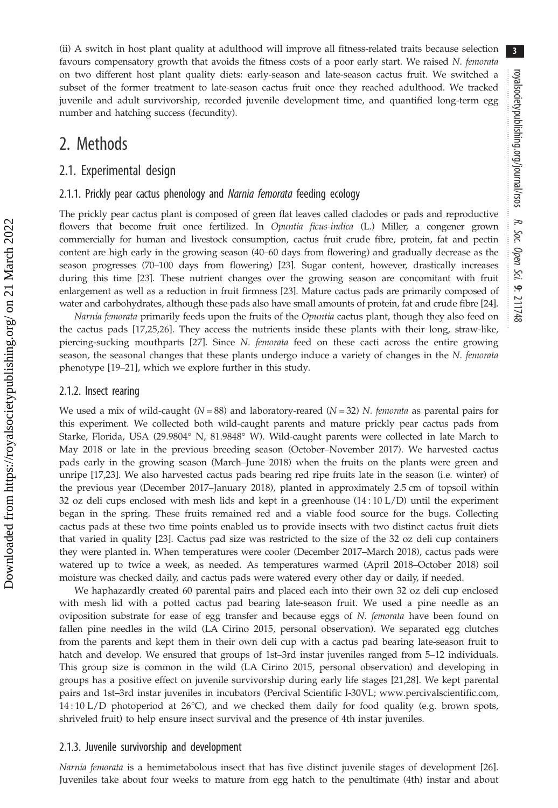(ii) A switch in host plant quality at adulthood will improve all fitness-related traits because selection favours compensatory growth that avoids the fitness costs of a poor early start. We raised N. femorata on two different host plant quality diets: early-season and late-season cactus fruit. We switched a subset of the former treatment to late-season cactus fruit once they reached adulthood. We tracked juvenile and adult survivorship, recorded juvenile development time, and quantified long-term egg number and hatching success (fecundity).

### 2. Methods

#### 2.1. Experimental design

#### 2.1.1. Prickly pear cactus phenology and Narnia femorata feeding ecology

The prickly pear cactus plant is composed of green flat leaves called cladodes or pads and reproductive flowers that become fruit once fertilized. In Opuntia ficus-indica (L.) Miller, a congener grown commercially for human and livestock consumption, cactus fruit crude fibre, protein, fat and pectin content are high early in the growing season (40–60 days from flowering) and gradually decrease as the season progresses (70–100 days from flowering) [\[23\]](#page-9-0). Sugar content, however, drastically increases during this time [\[23\]](#page-9-0). These nutrient changes over the growing season are concomitant with fruit enlargement as well as a reduction in fruit firmness [\[23](#page-9-0)]. Mature cactus pads are primarily composed of water and carbohydrates, although these pads also have small amounts of protein, fat and crude fibre [[24](#page-9-0)].

Narnia femorata primarily feeds upon the fruits of the Opuntia cactus plant, though they also feed on the cactus pads [[17,25,26](#page-9-0)]. They access the nutrients inside these plants with their long, straw-like, piercing-sucking mouthparts [\[27](#page-9-0)]. Since N. femorata feed on these cacti across the entire growing season, the seasonal changes that these plants undergo induce a variety of changes in the N. femorata phenotype [[19](#page-9-0)–[21](#page-9-0)], which we explore further in this study.

#### 2.1.2. Insect rearing

We used a mix of wild-caught ( $N = 88$ ) and laboratory-reared ( $N = 32$ ) N. femorata as parental pairs for this experiment. We collected both wild-caught parents and mature prickly pear cactus pads from Starke, Florida, USA (29.9804° N, 81.9848° W). Wild-caught parents were collected in late March to May 2018 or late in the previous breeding season (October–November 2017). We harvested cactus pads early in the growing season (March–June 2018) when the fruits on the plants were green and unripe [[17,23](#page-9-0)]. We also harvested cactus pads bearing red ripe fruits late in the season (i.e. winter) of the previous year (December 2017–January 2018), planted in approximately 2.5 cm of topsoil within 32 oz deli cups enclosed with mesh lids and kept in a greenhouse (14 : 10 L/D) until the experiment began in the spring. These fruits remained red and a viable food source for the bugs. Collecting cactus pads at these two time points enabled us to provide insects with two distinct cactus fruit diets that varied in quality [\[23](#page-9-0)]. Cactus pad size was restricted to the size of the 32 oz deli cup containers they were planted in. When temperatures were cooler (December 2017–March 2018), cactus pads were watered up to twice a week, as needed. As temperatures warmed (April 2018–October 2018) soil moisture was checked daily, and cactus pads were watered every other day or daily, if needed.

We haphazardly created 60 parental pairs and placed each into their own 32 oz deli cup enclosed with mesh lid with a potted cactus pad bearing late-season fruit. We used a pine needle as an oviposition substrate for ease of egg transfer and because eggs of N. femorata have been found on fallen pine needles in the wild (LA Cirino 2015, personal observation). We separated egg clutches from the parents and kept them in their own deli cup with a cactus pad bearing late-season fruit to hatch and develop. We ensured that groups of 1st–3rd instar juveniles ranged from 5–12 individuals. This group size is common in the wild (LA Cirino 2015, personal observation) and developing in groups has a positive effect on juvenile survivorship during early life stages [[21,28](#page-9-0)]. We kept parental pairs and 1st–3rd instar juveniles in incubators (Percival Scientific I-30VL; [www.percivalscientific.com](http://www.percivalscientific.com),  $14:10 \text{ L/D}$  photoperiod at  $26^{\circ}\text{C}$ ), and we checked them daily for food quality (e.g. brown spots, shriveled fruit) to help ensure insect survival and the presence of 4th instar juveniles.

#### 2.1.3. Juvenile survivorship and development

Narnia femorata is a hemimetabolous insect that has five distinct juvenile stages of development [\[26](#page-9-0)]. Juveniles take about four weeks to mature from egg hatch to the penultimate (4th) instar and about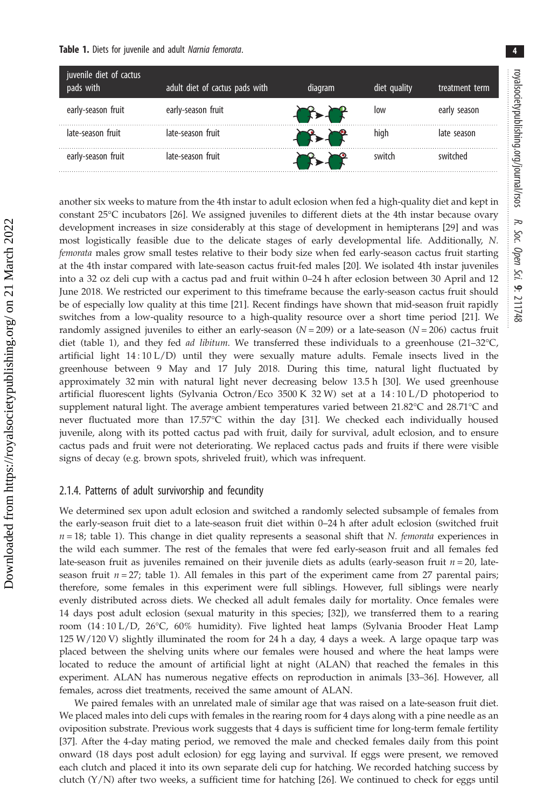<span id="page-3-0"></span>

another six weeks to mature from the 4th instar to adult eclosion when fed a high-quality diet and kept in constant 25°C incubators [[26\]](#page-9-0). We assigned juveniles to different diets at the 4th instar because ovary development increases in size considerably at this stage of development in hemipterans [\[29](#page-9-0)] and was most logistically feasible due to the delicate stages of early developmental life. Additionally, N. femorata males grow small testes relative to their body size when fed early-season cactus fruit starting at the 4th instar compared with late-season cactus fruit-fed males [[20](#page-9-0)]. We isolated 4th instar juveniles into a 32 oz deli cup with a cactus pad and fruit within 0–24 h after eclosion between 30 April and 12 June 2018. We restricted our experiment to this timeframe because the early-season cactus fruit should be of especially low quality at this time [[21](#page-9-0)]. Recent findings have shown that mid-season fruit rapidly switches from a low-quality resource to a high-quality resource over a short time period [\[21](#page-9-0)]. We randomly assigned juveniles to either an early-season  $(N = 209)$  or a late-season  $(N = 206)$  cactus fruit diet (table 1), and they fed *ad libitum*. We transferred these individuals to a greenhouse (21–32°C, artificial light 14 : 10 L/D) until they were sexually mature adults. Female insects lived in the greenhouse between 9 May and 17 July 2018. During this time, natural light fluctuated by approximately 32 min with natural light never decreasing below 13.5 h [\[30](#page-10-0)]. We used greenhouse artificial fluorescent lights (Sylvania Octron/Eco 3500 K 32 W) set at a 14 : 10 L/D photoperiod to supplement natural light. The average ambient temperatures varied between 21.82°C and 28.71°C and never fluctuated more than 17.57°C within the day [\[31](#page-10-0)]. We checked each individually housed juvenile, along with its potted cactus pad with fruit, daily for survival, adult eclosion, and to ensure cactus pads and fruit were not deteriorating. We replaced cactus pads and fruits if there were visible signs of decay (e.g. brown spots, shriveled fruit), which was infrequent.

#### 2.1.4. Patterns of adult survivorship and fecundity

Downloaded from https://royalsocietypublishing.org/ on 21 March 2022

Downloaded from https://royalsocietypublishing.org/ on 21 March 2022

We determined sex upon adult eclosion and switched a randomly selected subsample of females from the early-season fruit diet to a late-season fruit diet within 0–24 h after adult eclosion (switched fruit  $n = 18$ ; table 1). This change in diet quality represents a seasonal shift that N. femorata experiences in the wild each summer. The rest of the females that were fed early-season fruit and all females fed late-season fruit as juveniles remained on their juvenile diets as adults (early-season fruit  $n = 20$ , lateseason fruit  $n = 27$ ; table 1). All females in this part of the experiment came from 27 parental pairs; therefore, some females in this experiment were full siblings. However, full siblings were nearly evenly distributed across diets. We checked all adult females daily for mortality. Once females were 14 days post adult eclosion (sexual maturity in this species; [[32\]](#page-10-0)), we transferred them to a rearing room (14 : 10 L/D, 26°C, 60% humidity). Five lighted heat lamps (Sylvania Brooder Heat Lamp 125 W/120 V) slightly illuminated the room for 24 h a day, 4 days a week. A large opaque tarp was placed between the shelving units where our females were housed and where the heat lamps were located to reduce the amount of artificial light at night (ALAN) that reached the females in this experiment. ALAN has numerous negative effects on reproduction in animals [\[33](#page-10-0)–[36\]](#page-10-0). However, all females, across diet treatments, received the same amount of ALAN.

We paired females with an unrelated male of similar age that was raised on a late-season fruit diet. We placed males into deli cups with females in the rearing room for 4 days along with a pine needle as an oviposition substrate. Previous work suggests that 4 days is sufficient time for long-term female fertility [\[37](#page-10-0)]. After the 4-day mating period, we removed the male and checked females daily from this point onward (18 days post adult eclosion) for egg laying and survival. If eggs were present, we removed each clutch and placed it into its own separate deli cup for hatching. We recorded hatching success by clutch  $(Y/N)$  after two weeks, a sufficient time for hatching [[26\]](#page-9-0). We continued to check for eggs until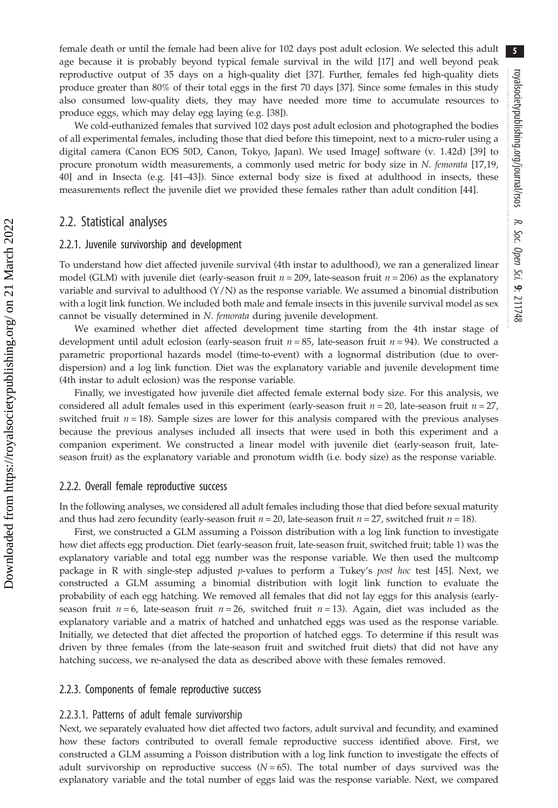female death or until the female had been alive for 102 days post adult eclosion. We selected this adult age because it is probably beyond typical female survival in the wild [[17\]](#page-9-0) and well beyond peak reproductive output of 35 days on a high-quality diet [\[37](#page-10-0)]. Further, females fed high-quality diets produce greater than 80% of their total eggs in the first 70 days [[37\]](#page-10-0). Since some females in this study also consumed low-quality diets, they may have needed more time to accumulate resources to produce eggs, which may delay egg laying (e.g. [[38\]](#page-10-0)).

We cold-euthanized females that survived 102 days post adult eclosion and photographed the bodies of all experimental females, including those that died before this timepoint, next to a micro-ruler using a digital camera (Canon EOS 50D, Canon, Tokyo, Japan). We used ImageJ software (v. 1.42d) [[39\]](#page-10-0) to procure pronotum width measurements, a commonly used metric for body size in N. femorata [\[17,19](#page-9-0), [40](#page-10-0)] and in Insecta (e.g. [\[41](#page-10-0)–[43\]](#page-10-0)). Since external body size is fixed at adulthood in insects, these measurements reflect the juvenile diet we provided these females rather than adult condition [\[44](#page-10-0)].

#### 2.2. Statistical analyses

#### 2.2.1. Juvenile survivorship and development

To understand how diet affected juvenile survival (4th instar to adulthood), we ran a generalized linear model (GLM) with juvenile diet (early-season fruit  $n = 209$ , late-season fruit  $n = 206$ ) as the explanatory variable and survival to adulthood  $(Y/N)$  as the response variable. We assumed a binomial distribution with a logit link function. We included both male and female insects in this juvenile survival model as sex cannot be visually determined in N. femorata during juvenile development.

We examined whether diet affected development time starting from the 4th instar stage of development until adult eclosion (early-season fruit  $n = 85$ , late-season fruit  $n = 94$ ). We constructed a parametric proportional hazards model (time-to-event) with a lognormal distribution (due to overdispersion) and a log link function. Diet was the explanatory variable and juvenile development time (4th instar to adult eclosion) was the response variable.

Finally, we investigated how juvenile diet affected female external body size. For this analysis, we considered all adult females used in this experiment (early-season fruit  $n = 20$ , late-season fruit  $n = 27$ , switched fruit  $n = 18$ ). Sample sizes are lower for this analysis compared with the previous analyses because the previous analyses included all insects that were used in both this experiment and a companion experiment. We constructed a linear model with juvenile diet (early-season fruit, lateseason fruit) as the explanatory variable and pronotum width (i.e. body size) as the response variable.

#### 2.2.2. Overall female reproductive success

In the following analyses, we considered all adult females including those that died before sexual maturity and thus had zero fecundity (early-season fruit  $n = 20$ , late-season fruit  $n = 27$ , switched fruit  $n = 18$ ).

First, we constructed a GLM assuming a Poisson distribution with a log link function to investigate how diet affects egg production. Diet (early-season fruit, late-season fruit, switched fruit; [table 1](#page-3-0)) was the explanatory variable and total egg number was the response variable. We then used the multcomp package in R with single-step adjusted p-values to perform a Tukey's post hoc test [\[45](#page-10-0)]. Next, we constructed a GLM assuming a binomial distribution with logit link function to evaluate the probability of each egg hatching. We removed all females that did not lay eggs for this analysis (earlyseason fruit  $n = 6$ , late-season fruit  $n = 26$ , switched fruit  $n = 13$ ). Again, diet was included as the explanatory variable and a matrix of hatched and unhatched eggs was used as the response variable. Initially, we detected that diet affected the proportion of hatched eggs. To determine if this result was driven by three females (from the late-season fruit and switched fruit diets) that did not have any hatching success, we re-analysed the data as described above with these females removed.

#### 2.2.3. Components of female reproductive success

#### 2.2.3.1. Patterns of adult female survivorship

Next, we separately evaluated how diet affected two factors, adult survival and fecundity, and examined how these factors contributed to overall female reproductive success identified above. First, we constructed a GLM assuming a Poisson distribution with a log link function to investigate the effects of adult survivorship on reproductive success  $(N = 65)$ . The total number of days survived was the explanatory variable and the total number of eggs laid was the response variable. Next, we compared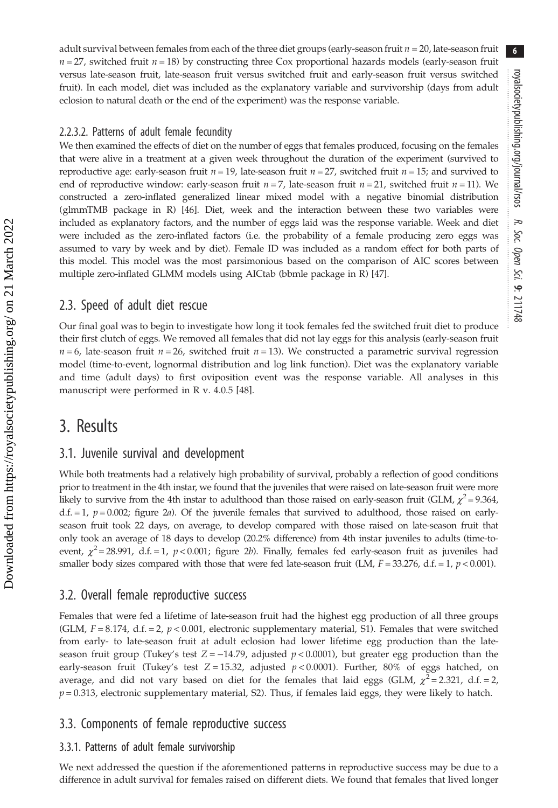adult survival between females from each of the three diet groups (early-season fruit  $n = 20$ , late-season fruit  $n = 27$ , switched fruit  $n = 18$ ) by constructing three Cox proportional hazards models (early-season fruit versus late-season fruit, late-season fruit versus switched fruit and early-season fruit versus switched fruit). In each model, diet was included as the explanatory variable and survivorship (days from adult eclosion to natural death or the end of the experiment) was the response variable.

#### 2.2.3.2. Patterns of adult female fecundity

We then examined the effects of diet on the number of eggs that females produced, focusing on the females that were alive in a treatment at a given week throughout the duration of the experiment (survived to reproductive age: early-season fruit  $n = 19$ , late-season fruit  $n = 27$ , switched fruit  $n = 15$ ; and survived to end of reproductive window: early-season fruit  $n = 7$ , late-season fruit  $n = 21$ , switched fruit  $n = 11$ ). We constructed a zero-inflated generalized linear mixed model with a negative binomial distribution (glmmTMB package in R) [[46](#page-10-0)]. Diet, week and the interaction between these two variables were included as explanatory factors, and the number of eggs laid was the response variable. Week and diet were included as the zero-inflated factors (i.e. the probability of a female producing zero eggs was assumed to vary by week and by diet). Female ID was included as a random effect for both parts of this model. This model was the most parsimonious based on the comparison of AIC scores between multiple zero-inflated GLMM models using AICtab (bbmle package in R) [\[47](#page-10-0)].

#### 2.3. Speed of adult diet rescue

Our final goal was to begin to investigate how long it took females fed the switched fruit diet to produce their first clutch of eggs. We removed all females that did not lay eggs for this analysis (early-season fruit  $n = 6$ , late-season fruit  $n = 26$ , switched fruit  $n = 13$ ). We constructed a parametric survival regression model (time-to-event, lognormal distribution and log link function). Diet was the explanatory variable and time (adult days) to first oviposition event was the response variable. All analyses in this manuscript were performed in R v. 4.0.5 [[48\]](#page-10-0).

### 3. Results

#### 3.1. Juvenile survival and development

While both treatments had a relatively high probability of survival, probably a reflection of good conditions prior to treatment in the 4th instar, we found that the juveniles that were raised on late-season fruit were more likely to survive from the 4th instar to adulthood than those raised on early-season fruit (GLM,  $\chi^2$ = 9.364, d.f. = 1,  $p = 0.002$ ; [figure 2](#page-6-0)a). Of the juvenile females that survived to adulthood, those raised on earlyseason fruit took 22 days, on average, to develop compared with those raised on late-season fruit that only took an average of 18 days to develop (20.2% difference) from 4th instar juveniles to adults (time-toevent,  $\chi^2$  = 28.991, d.f. = 1, p < 0.001; [figure 2](#page-6-0)b). Finally, females fed early-season fruit as juveniles had smaller body sizes compared with those that were fed late-season fruit (LM,  $F = 33.276$ , d.f. = 1,  $p < 0.001$ ).

#### 3.2. Overall female reproductive success

Females that were fed a lifetime of late-season fruit had the highest egg production of all three groups (GLM,  $F = 8.174$ , d.f. = 2,  $p < 0.001$ , electronic supplementary material, S1). Females that were switched from early- to late-season fruit at adult eclosion had lower lifetime egg production than the lateseason fruit group (Tukey's test  $Z = -14.79$ , adjusted  $p < 0.0001$ ), but greater egg production than the early-season fruit (Tukey's test  $Z = 15.32$ , adjusted  $p < 0.0001$ ). Further, 80% of eggs hatched, on average, and did not vary based on diet for the females that laid eggs (GLM,  $\chi^2$  = 2.321, d.f. = 2,  $p = 0.313$ , electronic supplementary material, S2). Thus, if females laid eggs, they were likely to hatch.

#### 3.3. Components of female reproductive success

#### 3.3.1. Patterns of adult female survivorship

We next addressed the question if the aforementioned patterns in reproductive success may be due to a difference in adult survival for females raised on different diets. We found that females that lived longer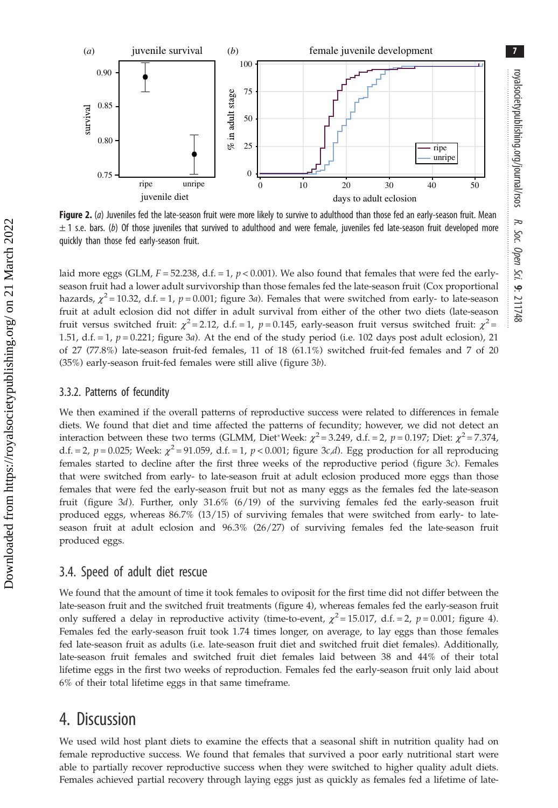<span id="page-6-0"></span>

Figure 2. (a) Juveniles fed the late-season fruit were more likely to survive to adulthood than those fed an early-season fruit. Mean  $\pm$  1 s.e. bars. (b) Of those juveniles that survived to adulthood and were female, juveniles fed late-season fruit developed more quickly than those fed early-season fruit.

laid more eggs (GLM,  $F = 52.238$ , d.f. = 1,  $p < 0.001$ ). We also found that females that were fed the earlyseason fruit had a lower adult survivorship than those females fed the late-season fruit (Cox proportional hazards,  $\chi^2$  = 10.32, d.f. = 1, p = 0.001; [figure 3](#page-7-0)a). Females that were switched from early- to late-season fruit at adult eclosion did not differ in adult survival from either of the other two diets (late-season fruit versus switched fruit:  $\chi^2$  = 2.12, d.f. = 1, p = 0.145, early-season fruit versus switched fruit:  $\chi^2$  = 1.51, d.f.  $= 1$ ,  $p = 0.221$ ; [figure 3](#page-7-0)a). At the end of the study period (i.e. 102 days post adult eclosion), 21 of 27 (77.8%) late-season fruit-fed females, 11 of 18 (61.1%) switched fruit-fed females and 7 of 20 (35%) early-season fruit-fed females were still alive ([figure 3](#page-7-0)b).

#### 3.3.2. Patterns of fecundity

We then examined if the overall patterns of reproductive success were related to differences in female diets. We found that diet and time affected the patterns of fecundity; however, we did not detect an interaction between these two terms (GLMM, Diet\*Week:  $\chi^2$  = 3.249, d.f. = 2, p = 0.197; Diet:  $\chi^2$  = 7.374, d.f. = 2,  $p = 0.025$ ; Week:  $\chi^2 = 91.059$ , d.f. = 1,  $p < 0.001$ ; [figure 3](#page-7-0)c,d). Egg production for all reproducing females started to decline after the first three weeks of the reproductive period [\(figure 3](#page-7-0)c). Females that were switched from early- to late-season fruit at adult eclosion produced more eggs than those females that were fed the early-season fruit but not as many eggs as the females fed the late-season fruit [\(figure 3](#page-7-0)d). Further, only 31.6% (6/19) of the surviving females fed the early-season fruit produced eggs, whereas 86.7% (13/15) of surviving females that were switched from early- to lateseason fruit at adult eclosion and 96.3% (26/27) of surviving females fed the late-season fruit produced eggs.

#### 3.4. Speed of adult diet rescue

We found that the amount of time it took females to oviposit for the first time did not differ between the late-season fruit and the switched fruit treatments ([figure 4](#page-7-0)), whereas females fed the early-season fruit only suffered a delay in reproductive activity (time-to-event,  $\chi^2$  = 15.017, d.f. = 2, p = 0.001; [figure 4](#page-7-0)). Females fed the early-season fruit took 1.74 times longer, on average, to lay eggs than those females fed late-season fruit as adults (i.e. late-season fruit diet and switched fruit diet females). Additionally, late-season fruit females and switched fruit diet females laid between 38 and 44% of their total lifetime eggs in the first two weeks of reproduction. Females fed the early-season fruit only laid about 6% of their total lifetime eggs in that same timeframe.

### 4. Discussion

We used wild host plant diets to examine the effects that a seasonal shift in nutrition quality had on female reproductive success. We found that females that survived a poor early nutritional start were able to partially recover reproductive success when they were switched to higher quality adult diets. Females achieved partial recovery through laying eggs just as quickly as females fed a lifetime of late-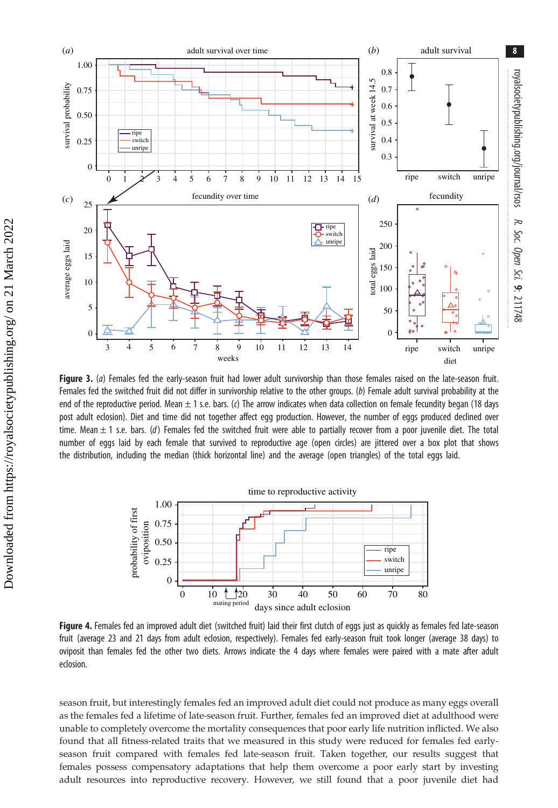<span id="page-7-0"></span>

Figure 3. (a) Females fed the early-season fruit had lower adult survivorship than those females raised on the late-season fruit. Females fed the switched fruit did not differ in survivorship relative to the other groups. (b) Female adult survival probability at the end of the reproductive period. Mean  $\pm 1$  s.e. bars. (c) The arrow indicates when data collection on female fecundity began (18 days post adult eclosion). Diet and time did not together affect egg production. However, the number of eggs produced declined over time. Mean  $\pm$  1 s.e. bars. (d) Females fed the switched fruit were able to partially recover from a poor juvenile diet. The total number of eggs laid by each female that survived to reproductive age (open circles) are jittered over a box plot that shows the distribution, including the median (thick horizontal line) and the average (open triangles) of the total eggs laid.



Figure 4. Females fed an improved adult diet (switched fruit) laid their first clutch of eggs just as quickly as females fed late-season fruit (average 23 and 21 days from adult eclosion, respectively). Females fed early-season fruit took longer (average 38 days) to oviposit than females fed the other two diets. Arrows indicate the 4 days where females were paired with a mate after adult eclosion.

season fruit, but interestingly females fed an improved adult diet could not produce as many eggs overall as the females fed a lifetime of late-season fruit. Further, females fed an improved diet at adulthood were unable to completely overcome the mortality consequences that poor early life nutrition inflicted. We also found that all fitness-related traits that we measured in this study were reduced for females fed earlyseason fruit compared with females fed late-season fruit. Taken together, our results suggest that females possess compensatory adaptations that help them overcome a poor early start by investing adult resources into reproductive recovery. However, we still found that a poor juvenile diet had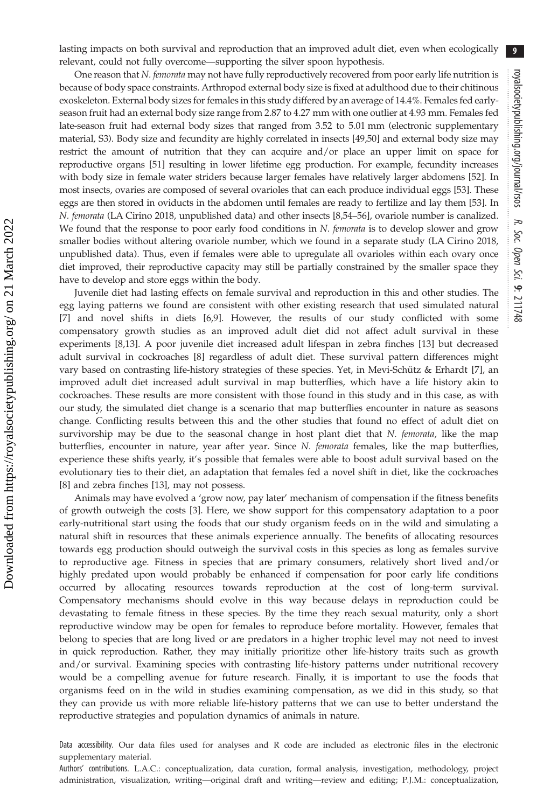9

lasting impacts on both survival and reproduction that an improved adult diet, even when ecologically relevant, could not fully overcome—supporting the silver spoon hypothesis.

One reason that *N. femorata* may not have fully reproductively recovered from poor early life nutrition is because of body space constraints. Arthropod external body size is fixed at adulthood due to their chitinous exoskeleton. External body sizes for females in this study differed by an average of 14.4%. Females fed earlyseason fruit had an external body size range from 2.87 to 4.27 mm with one outlier at 4.93 mm. Females fed late-season fruit had external body sizes that ranged from 3.52 to 5.01 mm (electronic supplementary material, S3). Body size and fecundity are highly correlated in insects [\[49](#page-10-0),[50](#page-10-0)] and external body size may restrict the amount of nutrition that they can acquire and/or place an upper limit on space for reproductive organs [\[51](#page-10-0)] resulting in lower lifetime egg production. For example, fecundity increases with body size in female water striders because larger females have relatively larger abdomens [\[52](#page-10-0)]. In most insects, ovaries are composed of several ovarioles that can each produce individual eggs [\[53](#page-10-0)]. These eggs are then stored in oviducts in the abdomen until females are ready to fertilize and lay them [[53\]](#page-10-0). In N. femorata (LA Cirino 2018, unpublished data) and other insects [\[8,](#page-9-0)[54](#page-10-0)–[56](#page-10-0)], ovariole number is canalized. We found that the response to poor early food conditions in N. femorata is to develop slower and grow smaller bodies without altering ovariole number, which we found in a separate study (LA Cirino 2018, unpublished data). Thus, even if females were able to upregulate all ovarioles within each ovary once diet improved, their reproductive capacity may still be partially constrained by the smaller space they have to develop and store eggs within the body.

Juvenile diet had lasting effects on female survival and reproduction in this and other studies. The egg laying patterns we found are consistent with other existing research that used simulated natural [\[7\]](#page-9-0) and novel shifts in diets [\[6,9](#page-9-0)]. However, the results of our study conflicted with some compensatory growth studies as an improved adult diet did not affect adult survival in these experiments [\[8,13](#page-9-0)]. A poor juvenile diet increased adult lifespan in zebra finches [[13](#page-9-0)] but decreased adult survival in cockroaches [\[8\]](#page-9-0) regardless of adult diet. These survival pattern differences might vary based on contrasting life-history strategies of these species. Yet, in Mevi-Schütz & Erhardt [\[7\]](#page-9-0), an improved adult diet increased adult survival in map butterflies, which have a life history akin to cockroaches. These results are more consistent with those found in this study and in this case, as with our study, the simulated diet change is a scenario that map butterflies encounter in nature as seasons change. Conflicting results between this and the other studies that found no effect of adult diet on survivorship may be due to the seasonal change in host plant diet that N. femorata, like the map butterflies, encounter in nature, year after year. Since N. femorata females, like the map butterflies, experience these shifts yearly, it's possible that females were able to boost adult survival based on the evolutionary ties to their diet, an adaptation that females fed a novel shift in diet, like the cockroaches [\[8\]](#page-9-0) and zebra finches [[13\]](#page-9-0), may not possess.

Animals may have evolved a 'grow now, pay later' mechanism of compensation if the fitness benefits of growth outweigh the costs [\[3\]](#page-9-0). Here, we show support for this compensatory adaptation to a poor early-nutritional start using the foods that our study organism feeds on in the wild and simulating a natural shift in resources that these animals experience annually. The benefits of allocating resources towards egg production should outweigh the survival costs in this species as long as females survive to reproductive age. Fitness in species that are primary consumers, relatively short lived and/or highly predated upon would probably be enhanced if compensation for poor early life conditions occurred by allocating resources towards reproduction at the cost of long-term survival. Compensatory mechanisms should evolve in this way because delays in reproduction could be devastating to female fitness in these species. By the time they reach sexual maturity, only a short reproductive window may be open for females to reproduce before mortality. However, females that belong to species that are long lived or are predators in a higher trophic level may not need to invest in quick reproduction. Rather, they may initially prioritize other life-history traits such as growth and/or survival. Examining species with contrasting life-history patterns under nutritional recovery would be a compelling avenue for future research. Finally, it is important to use the foods that organisms feed on in the wild in studies examining compensation, as we did in this study, so that they can provide us with more reliable life-history patterns that we can use to better understand the reproductive strategies and population dynamics of animals in nature.

Data accessibility. Our data files used for analyses and R code are included as electronic files in the electronic supplementary material.

Authors' contributions. L.A.C.: conceptualization, data curation, formal analysis, investigation, methodology, project administration, visualization, writing—original draft and writing—review and editing; P.J.M.: conceptualization,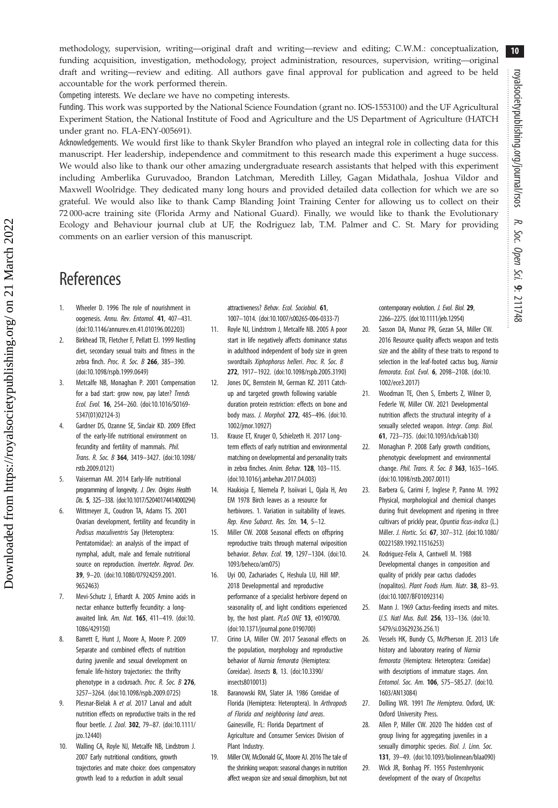10

<span id="page-9-0"></span>methodology, supervision, writing—original draft and writing—review and editing; C.W.M.: conceptualization, funding acquisition, investigation, methodology, project administration, resources, supervision, writing—original draft and writing—review and editing. All authors gave final approval for publication and agreed to be held accountable for the work performed therein.

Competing interests. We declare we have no competing interests.

Funding. This work was supported by the National Science Foundation (grant no. IOS-1553100) and the UF Agricultural Experiment Station, the National Institute of Food and Agriculture and the US Department of Agriculture (HATCH under grant no. FLA-ENY-005691).

Acknowledgements. We would first like to thank Skyler Brandfon who played an integral role in collecting data for this manuscript. Her leadership, independence and commitment to this research made this experiment a huge success. We would also like to thank our other amazing undergraduate research assistants that helped with this experiment including Amberlika Guruvadoo, Brandon Latchman, Meredith Lilley, Gagan Midathala, Joshua Vildor and Maxwell Woolridge. They dedicated many long hours and provided detailed data collection for which we are so grateful. We would also like to thank Camp Blanding Joint Training Center for allowing us to collect on their 72 000-acre training site (Florida Army and National Guard). Finally, we would like to thank the Evolutionary Ecology and Behaviour journal club at UF, the Rodriguez lab, T.M. Palmer and C. St. Mary for providing comments on an earlier version of this manuscript.

## **References**

- 1. Wheeler D. 1996 The role of nourishment in oogenesis. Annu. Rev. Entomol. 41, 407–431. ([doi:10.1146/annurev.en.41.010196.002203\)](http://dx.doi.org/10.1146/annurev.en.41.010196.002203)
- 2. Birkhead TR, Fletcher F, Pellatt EJ. 1999 Nestling diet, secondary sexual traits and fitness in the zebra finch. Proc. R. Soc. B 266, 385-390. ([doi:10.1098/rspb.1999.0649](http://dx.doi.org/10.1098/rspb.1999.0649))
- 3. Metcalfe NB, Monaghan P. 2001 Compensation for a bad start: grow now, pay later? Trends Ecol. Evol. 16, 254–260. [\(doi:10.1016/S0169-](http://dx.doi.org/10.1016/S0169-5347(01)02124-3) [5347\(01\)02124-3\)](http://dx.doi.org/10.1016/S0169-5347(01)02124-3)
- 4. Gardner DS, Ozanne SE, Sinclair KD. 2009 Effect of the early-life nutritional environment on fecundity and fertility of mammals. Phil. Trans. R. Soc. B 364, 3419–3427. [\(doi:10.1098/](http://dx.doi.org/10.1098/rstb.2009.0121) [rstb.2009.0121\)](http://dx.doi.org/10.1098/rstb.2009.0121)
- 5. Vaiserman AM. 2014 Early-life nutritional programming of longevity. J. Dev. Origins Health Dis. 5, 325–338. ([doi:10.1017/S2040174414000294](http://dx.doi.org/10.1017/S2040174414000294))
- 6. Wittmeyer JL, Coudron TA, Adams TS. 2001 Ovarian development, fertility and fecundity in Podisus maculiventris Say (Heteroptera: Pentatomidae): an analysis of the impact of nymphal, adult, male and female nutritional source on reproduction. Invertebr. Reprod. Dev. 39, 9–20. [\(doi:10.1080/07924259.2001.](http://dx.doi.org/10.1080/07924259.2001.9652463) [9652463\)](http://dx.doi.org/10.1080/07924259.2001.9652463)
- 7. Mevi-Schutz J, Erhardt A. 2005 Amino acids in nectar enhance butterfly fecundity: a longawaited link. Am. Nat. 165, 411–419. ([doi:10.](http://dx.doi.org/10.1086/429150) [1086/429150](http://dx.doi.org/10.1086/429150))
- 8. Barrett E, Hunt J, Moore A, Moore P. 2009 Separate and combined effects of nutrition during juvenile and sexual development on female life-history trajectories: the thrifty phenotype in a cockroach. Proc. R. Soc. B 276, 3257–3264. [\(doi:10.1098/rspb.2009.0725](http://dx.doi.org/10.1098/rspb.2009.0725))
- 9. Plesnar-Bielak A et al. 2017 Larval and adult nutrition effects on reproductive traits in the red flour beetle. J. Zool. 302, 79–87. [\(doi:10.1111/](http://dx.doi.org/10.1111/jzo.12440) [jzo.12440](http://dx.doi.org/10.1111/jzo.12440))
- 10. Walling CA, Royle NJ, Metcalfe NB, Lindstrom J. 2007 Early nutritional conditions, growth trajectories and mate choice: does compensatory growth lead to a reduction in adult sexual

attractiveness? Behav. Ecol. Sociobiol. 61, 1007–1014. [\(doi:10.1007/s00265-006-0333-7\)](http://dx.doi.org/10.1007/s00265-006-0333-7)

- 11. Royle NJ, Lindstrom J, Metcalfe NB. 2005 A poor start in life negatively affects dominance status in adulthood independent of body size in green swordtails Xiphophorus helleri. Proc. R. Soc. B 272, 1917–1922. [\(doi:10.1098/rspb.2005.3190](http://dx.doi.org/10.1098/rspb.2005.3190))
- 12. Jones DC, Bernstein M, German RZ. 2011 Catchup and targeted growth following variable duration protein restriction: effects on bone and body mass. J. Morphol. 272, 485–496. [\(doi:10.](http://dx.doi.org/10.1002/jmor.10927) [1002/jmor.10927](http://dx.doi.org/10.1002/jmor.10927))
- 13. Krause ET, Kruger O, Schielzeth H. 2017 Longterm effects of early nutrition and environmental matching on developmental and personality traits in zebra finches. Anim. Behav. 128, 103–115. ([doi:10.1016/j.anbehav.2017.04.003](http://dx.doi.org/10.1016/j.anbehav.2017.04.003))
- 14. Haukioja E, Niemela P, Isoiivari L, Ojala H, Aro EM 1978 Birch leaves as a resource for herbivores. 1. Variation in suitability of leaves. Rep. Kevo Subarct. Res. Stn. 14, 5–12.
- 15. Miller CW. 2008 Seasonal effects on offspring reproductive traits through maternal oviposition behavior. Behav. Ecol. 19, 1297–1304. ([doi:10.](http://dx.doi.org/10.1093/beheco/arn075) [1093/beheco/arn075](http://dx.doi.org/10.1093/beheco/arn075))
- 16. Uyi OO, Zachariades C, Heshula LU, Hill MP. 2018 Developmental and reproductive performance of a specialist herbivore depend on seasonality of, and light conditions experienced by, the host plant. PLoS ONE 13, e0190700. ([doi:10.1371/journal.pone.0190700](http://dx.doi.org/10.1371/journal.pone.0190700))
- 17. Cirino LA, Miller CW. 2017 Seasonal effects on the population, morphology and reproductive behavior of Narnia femorata (Hemiptera: Coreidae). Insects 8, 13. ([doi:10.3390/](http://dx.doi.org/10.3390/insects8010013) [insects8010013\)](http://dx.doi.org/10.3390/insects8010013)
- 18. Baranowski RM, Slater JA. 1986 Coreidae of Florida (Hemiptera: Heteroptera). In Arthropods of Florida and neighboring land areas. Gainesville, FL: Florida Department of Agriculture and Consumer Services Division of Plant Industry.
- 19. Miller CW, McDonald GC, Moore AJ. 2016 The tale of the shrinking weapon: seasonal changes in nutrition affect weapon size and sexual dimorphism, but not

contemporary evolution. J. Evol. Biol. 29, 2266–2275. [\(doi:10.1111/jeb.12954\)](http://dx.doi.org/10.1111/jeb.12954)

- 20. Sasson DA, Munoz PR, Gezan SA, Miller CW. 2016 Resource quality affects weapon and testis size and the ability of these traits to respond to selection in the leaf-footed cactus bug, Narnia femorata. Ecol. Evol. 6, 2098–2108. [\(doi:10.](http://dx.doi.org/10.1002/ece3.2017) [1002/ece3.2017\)](http://dx.doi.org/10.1002/ece3.2017)
- 21. Woodman TE, Chen S, Emberts Z, Wilner D, Federle W, Miller CW. 2021 Developmental nutrition affects the structural integrity of a sexually selected weapon. Integr. Comp. Biol. 61, 723–735. [\(doi:10.1093/icb/icab130](http://dx.doi.org/10.1093/icb/icab130))
- 22. Monaghan P. 2008 Early growth conditions, phenotypic development and environmental change. Phil. Trans. R. Soc. B 363, 1635–1645. [\(doi:10.1098/rstb.2007.0011](http://dx.doi.org/10.1098/rstb.2007.0011))
- 23. Barbera G, Carimi F, Inglese P, Panno M. 1992 Physical, morphological and chemical changes during fruit development and ripening in three cultivars of prickly pear, Opuntia ficus-indica (L.) Miller. J. Hortic. Sci. 67, 307–312. ([doi:10.1080/](http://dx.doi.org/10.1080/00221589.1992.11516253) [00221589.1992.11516253\)](http://dx.doi.org/10.1080/00221589.1992.11516253)
- 24. Rodriguez-Felix A, Cantwell M. 1988 Developmental changes in composition and quality of prickly pear cactus cladodes (nopalitos). Plant Foods Hum. Nutr. 38, 83–93. [\(doi:10.1007/BF01092314](http://dx.doi.org/10.1007/BF01092314))
- 25. Mann J. 1969 Cactus-feeding insects and mites. U.S. Natl Mus. Bull. 256, 133–136. ([doi:10.](http://dx.doi.org/10.5479/si.03629236.256.1) [5479/si.03629236.256.1](http://dx.doi.org/10.5479/si.03629236.256.1))
- 26. Vessels HK, Bundy CS, McPherson JE. 2013 Life history and laboratory rearing of Narnia femorata (Hemiptera: Heteroptera: Coreidae) with descriptions of immature stages. Ann. Entomol. Soc. Am. 106, 575–585.27. [\(doi:10.](http://dx.doi.org/10.1603/AN13084) [1603/AN13084\)](http://dx.doi.org/10.1603/AN13084)
- 27. Dolling WR, 1991 The Hemiptera, Oxford, UK: Oxford University Press.
- 28. Allen P, Miller CW. 2020 The hidden cost of group living for aggregating juveniles in a sexually dimorphic species. Biol. J. Linn. Soc. 131, 39–49. ([doi:10.1093/biolinnean/blaa090\)](http://dx.doi.org/10.1093/biolinnean/blaa090)
- 29. Wick JR, Bonhag PF. 1955 Postemhryonic development of the ovary of Oncopeltus